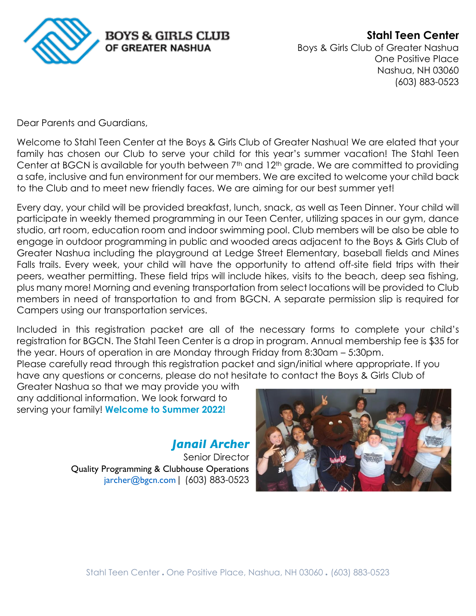

**Stahl Teen Center** Boys & Girls Club of Greater Nashua One Positive Place Nashua, NH 03060 (603) 883-0523

Dear Parents and Guardians,

Welcome to Stahl Teen Center at the Boys & Girls Club of Greater Nashua! We are elated that your family has chosen our Club to serve your child for this year's summer vacation! The Stahl Teen Center at BGCN is available for youth between 7<sup>th</sup> and 12<sup>th</sup> grade. We are committed to providing a safe, inclusive and fun environment for our members. We are excited to welcome your child back to the Club and to meet new friendly faces. We are aiming for our best summer yet!

Every day, your child will be provided breakfast, lunch, snack, as well as Teen Dinner. Your child will participate in weekly themed programming in our Teen Center, utilizing spaces in our gym, dance studio, art room, education room and indoor swimming pool. Club members will be also be able to engage in outdoor programming in public and wooded areas adjacent to the Boys & Girls Club of Greater Nashua including the playground at Ledge Street Elementary, baseball fields and Mines Falls trails. Every week, your child will have the opportunity to attend off-site field trips with their peers, weather permitting. These field trips will include hikes, visits to the beach, deep sea fishing, plus many more! Morning and evening transportation from select locations will be provided to Club members in need of transportation to and from BGCN. A separate permission slip is required for Campers using our transportation services.

Included in this registration packet are all of the necessary forms to complete your child's registration for BGCN. The Stahl Teen Center is a drop in program. Annual membership fee is \$35 for the year. Hours of operation in are Monday through Friday from 8:30am – 5:30pm.

Please carefully read through this registration packet and sign/initial where appropriate. If you have any questions or concerns, please do not hesitate to contact the Boys & Girls Club of

Greater Nashua so that we may provide you with any additional information. We look forward to serving your family! **Welcome to Summer 2022!**

> *Janail Archer* Senior Director Quality Programming & Clubhouse Operations [jarcher@bgc](mailto:tdavidian@bgcn.com)n.com| (603) 883-0523

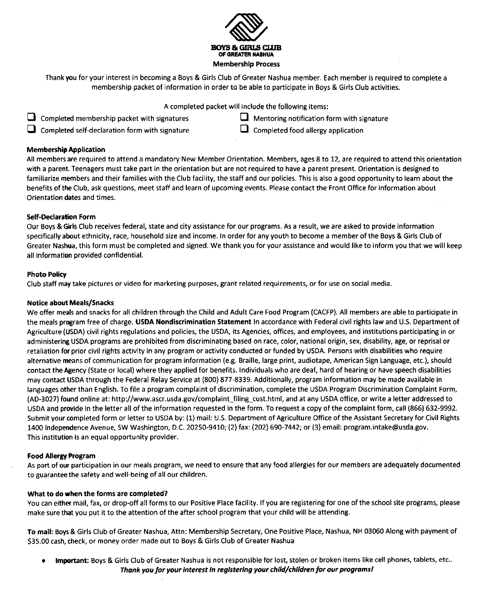

Thank you for your interest in becoming a Boys & Girls Club of Greater Nashua member. Each member is required to complete a membership packet of information in order to be able to participate in Boys & Girls Club activities.

A completed packet will include the following items:

- $\Box$  Completed membership packet with signatures
- $\Box$  Completed self-declaration form with signature
- $\Box$  Mentoring notification form with signature
- $\Box$  Completed food allergy application

## **Membership Application**

All members are required to attend a mandatory New Member Orientation. Members, ages 8 to 12, are required to attend this orientation with a parent. Teenagers must take part in the orientation but are not required to have a parent present. Orientation is designed to familiarize members and their families with the Club facility, the staff and our policies. This is also a good opportunity to learn about the benefits of the Club, ask questions, meet staff and learn of upcoming events. Please contact the Front Office for information about Orientation dates and times.

## **Self-Declaration Form**

Our Boys & Girls Club receives federal, state and city assistance for our programs. As a result, we are asked to provide information specifically about ethnicity, race, household size and income. In order for any youth to become a member of the Boys & Girls Club of Greater Nashua, this form must be completed and signed. We thank you for your assistance and would like to inform you that we will keep all information provided confidential.

## **Photo Policy**

Club staff may take pictures or video for marketing purposes, grant related requirements, or for use on social media.

## **Notice about Meals/Snacks**

We offer meals and snacks for all children through the Child and Adult Care Food Program (CACFP). All members are able to participate in the meals program free of charge. USDA Nondiscrimination Statement In accordance with Federal civil rights law and U.S. Department of Agriculture (USDA) civil rights regulations and policies, the USDA, its Agencies, offices, and employees, and institutions participating in or administering USDA programs are prohibited from discriminating based on race, color, national origin, sex, disability, age, or reprisal or retaliation for prior civil rights activity in any program or activity conducted or funded by USDA. Persons with disabilities who require alternative means of communication for program information (e.g. Braille, large print, audiotape, American Sign Language, etc.), should contact the Agency (State or local) where they applied for benefits. Individuals who are deaf, hard of hearing or have speech disabilities may contact USDA through the Federal Relay Service at (800) 877-8339. Additionally, program information may be made available in languages other than English. To file a program complaint of discrimination, complete the USDA Program Discrimination Complaint Form, (AD-3027) found online at: http://www.ascr.usda.gov/complaint filing cust.html, and at any USDA office, or write a letter addressed to USDA and provide in the letter all of the information requested in the form. To request a copy of the complaint form, call (866) 632-9992. Submit your completed form or letter to USDA by: (1) mail: U.S. Department of Agriculture Office of the Assistant Secretary for Civil Rights 1400 Independence Avenue, SW Washington, D.C. 20250-9410; (2) fax: (202) 690-7442; or (3) email: program.intake@usda.gov. This institution is an equal opportunity provider.

## **Food Allergy Program**

As part of our participation in our meals program, we need to ensure that any food allergies for our members are adequately documented to guarantee the safety and well-being of all our children.

## What to do when the forms are completed?

You can either mail, fax, or drop-off all forms to our Positive Place facility. If you are registering for one of the school site programs, please make sure that you put it to the attention of the after school program that your child will be attending.

To mail: Boys & Girls Club of Greater Nashua, Attn: Membership Secretary, One Positive Place, Nashua, NH 03060 Along with payment of \$35.00 cash, check, or money order made out to Boys & Girls Club of Greater Nashua

Important: Boys & Girls Club of Greater Nashua is not responsible for lost, stolen or broken items like cell phones, tablets, etc.. Thank you for your interest in registering your child/children for our programs!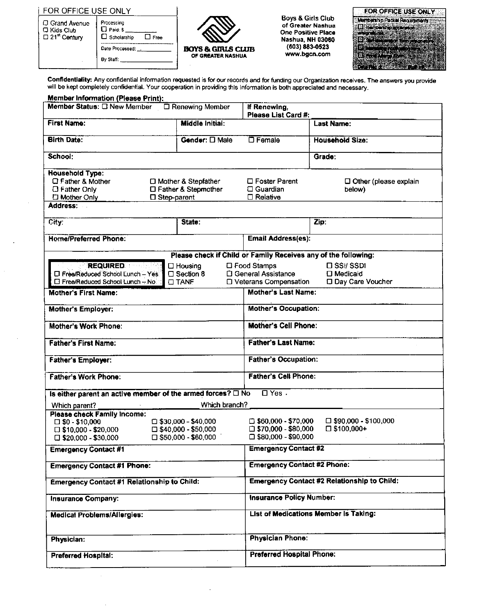| FOR OFFICE USE ONLY |
|---------------------|
|---------------------|

| 口 Grand Avenue<br>L Kids Club<br>$\square$ 21 <sup>st</sup> Century | Processing<br>$\Box$ Paid: \$<br>$\Box$ Scholarship<br>Free |
|---------------------------------------------------------------------|-------------------------------------------------------------|
|                                                                     | Date Processed:                                             |
|                                                                     |                                                             |



**Boys & Girls Club<br>of Greater Nashua<br>One Positive Place** Nashua, NH 03060<br>(603) 883-0523 www.bgcn.com

|  | <b>FOR OFFICE USE ON</b> |  |
|--|--------------------------|--|
|  |                          |  |
|  |                          |  |
|  |                          |  |
|  |                          |  |
|  |                          |  |

Confidentiality: Any confidential information requested is for our records and for funding our Organization receives. The answers you provide will be kept completely confidential. Your cooperation in providing this information is both appreciated and necessary.

| <b>Member Information (Please Print):</b><br>Member Status: O New Member |                               |                                                             |                                                                |  |  |
|--------------------------------------------------------------------------|-------------------------------|-------------------------------------------------------------|----------------------------------------------------------------|--|--|
| □ Renewing Member                                                        |                               | If Renewing,<br>Please List Card #:                         |                                                                |  |  |
| <b>First Name:</b>                                                       | Middle Initiai:               |                                                             | Last Name:                                                     |  |  |
| <b>Birth Date:</b>                                                       | Gender: D Male                | $\square$ Female                                            | <b>Household Size:</b>                                         |  |  |
| School:                                                                  |                               |                                                             | Grade:                                                         |  |  |
| <b>Household Type:</b>                                                   |                               |                                                             |                                                                |  |  |
| C Father & Mother                                                        | □ Mother & Stepfather         | □ Foster Parent                                             | Other (please explain                                          |  |  |
| $\square$ Father Only                                                    | □ Father & Stepmother         | □ Guardian                                                  | below)                                                         |  |  |
| <b>El Mother Only</b>                                                    | $\square$ Step-parent         | $\Box$ Relative                                             |                                                                |  |  |
| Address:                                                                 |                               |                                                             |                                                                |  |  |
| City.                                                                    | State:                        |                                                             | Zip:                                                           |  |  |
| <b>Home/Preferred Phone:</b>                                             |                               | <b>Email Address(es):</b>                                   |                                                                |  |  |
|                                                                          |                               |                                                             | Please check if Child or Family Receives any of the following: |  |  |
| <b>REQUIRED Executive</b>                                                | $\Box$ Housing                | <b>LI</b> Food Stamps                                       | <b>LISSI/SSDI</b>                                              |  |  |
| □ Free/Reduced School Lunch - Yes                                        | □ Section 8                   | □ General Assistance                                        | <b>D</b> Medicaid                                              |  |  |
| □ Free/Reduced School Lunch - No.                                        | <b>CITANE</b>                 | □ Veterans Compensation                                     | D Day Care Voucher                                             |  |  |
| Mother's First Name:                                                     |                               | <b>Mother's Last Name:</b>                                  |                                                                |  |  |
| <b>Mother's Employer:</b>                                                |                               | <b>Mother's Occupation:</b>                                 |                                                                |  |  |
| Mother's Work Phone:                                                     |                               | <b>Mother's Cell Phone:</b>                                 |                                                                |  |  |
| <b>Father's First Name:</b>                                              |                               | <b>Father's Last Name:</b>                                  |                                                                |  |  |
| <b>Father's Employer:</b>                                                |                               | <b>Father's Occupation:</b>                                 |                                                                |  |  |
| <b>Father's Work Phone:</b>                                              |                               | <b>Father's Cell Phone:</b>                                 |                                                                |  |  |
| Is either parent an active member of the armed forces? O No              |                               | $\Box$ Yes.                                                 |                                                                |  |  |
| Which parent?                                                            | Which branch?                 |                                                             |                                                                |  |  |
| <b>Please check Family Income:</b>                                       |                               |                                                             |                                                                |  |  |
| $\square$ \$0 - \$10,000                                                 | $\square$ \$30,000 - \$40,000 | $\Box$ \$60,000 - \$70,000                                  | $\square$ \$90,000 - \$100,000                                 |  |  |
| $\square$ \$10,000 - \$20,000                                            | $\square$ \$40,000 - \$50,000 | $\square$ \$70,000 - \$80,000                               | $\square$ \$100,000+                                           |  |  |
| $\square$ \$20,000 - \$30,000                                            | $\square$ \$50,000 - \$60.000 | $\Box$ \$80,000 - \$90,000                                  |                                                                |  |  |
| <b>Emergency Contact #1</b>                                              |                               | <b>Emergency Contact #2</b>                                 |                                                                |  |  |
| <b>Emergency Contact #1 Phone:</b>                                       |                               | <b>Emergency Contact #2 Phone:</b>                          |                                                                |  |  |
| <b>Emergency Contact #1 Relationship to Child:</b>                       |                               |                                                             | <b>Emergency Contact #2 Relationship to Child:</b>             |  |  |
| <b>Insurance Company:</b>                                                |                               | <b>Insurance Policy Number:</b>                             |                                                                |  |  |
|                                                                          |                               |                                                             | <b>List of Medications Member is Taking:</b>                   |  |  |
| Medical Problems/Allergies:                                              |                               |                                                             |                                                                |  |  |
|                                                                          |                               |                                                             |                                                                |  |  |
| Physician:                                                               |                               | <b>Physician Phone:</b><br><b>Preferred Hospital Phone:</b> |                                                                |  |  |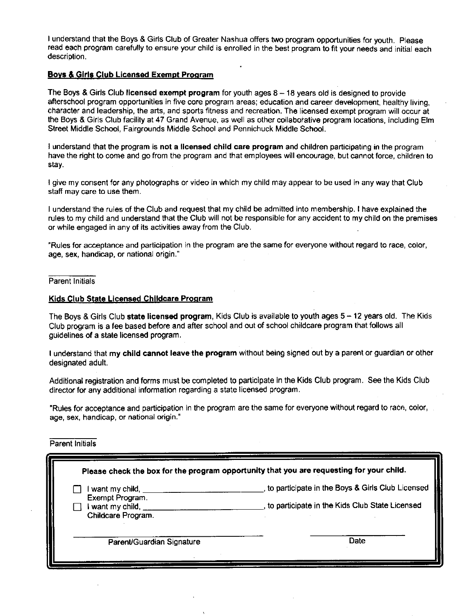I understand that the Boys & Girls Club of Greater Nashua offers two program opportunities for youth. Please read each program carefully to ensure your child is enrolled in the best program to fit your needs and initial each description.

## **Boys & Girls Club Licensed Exempt Program**

The Boys & Girls Club licensed exempt program for youth ages  $8 - 18$  years old is designed to provide afterschool program opportunities in five core program areas; education and career development, healthy living, character and leadership, the arts, and sports fitness and recreation. The licensed exempt program will occur at the Bovs & Girls Club facility at 47 Grand Avenue, as well as other collaborative program locations, including Elm Street Middle School, Fairgrounds Middle School and Pennichuck Middle School.

I understand that the program is not a licensed child care program and children participating in the program have the right to come and go from the program and that employees will encourage, but cannot force, children to stav.

I give my consent for any photographs or video in which my child may appear to be used in any way that Club staff may care to use them.

I understand the rules of the Club and request that my child be admitted into membership. I have explained the rules to my child and understand that the Club will not be responsible for any accident to my child on the premises or while engaged in any of its activities away from the Club.

"Rules for acceptance and participation in the program are the same for everyone without regard to race, color, age, sex, handicap, or national origin."

Parent Initials

## Kids Club State Licensed Childcare Program

The Boys & Girls Club state licensed program, Kids Club is available to youth ages 5 - 12 years old. The Kids Club program is a fee based before and after school and out of school childcare program that follows all quidelines of a state licensed program.

I understand that my child cannot leave the program without being signed out by a parent or guardian or other designated adult.

Additional registration and forms must be completed to participate in the Kids Club program. See the Kids Club director for any additional information regarding a state licensed program.

"Rules for acceptance and participation in the program are the same for everyone without regard to race, color, age, sex, handicap, or national origin."

#### Parent Initials

|                                                                                                          | Please check the box for the program opportunity that you are requesting for your child.           |
|----------------------------------------------------------------------------------------------------------|----------------------------------------------------------------------------------------------------|
| I want my child, _<br>Exempt Program.<br>I want my child, $\overline{\phantom{a}}$<br>Childcare Program. | to participate in the Boys & Girls Club Licensed<br>to participate in the Kids Club State Licensed |
| Parent/Guardian Signature                                                                                | Date                                                                                               |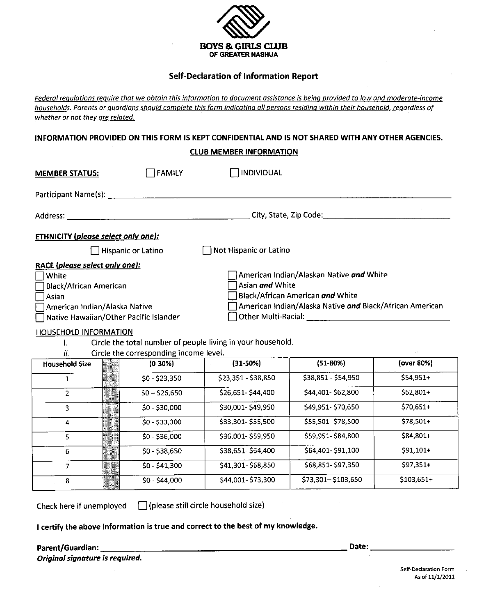

## **Self-Declaration of Information Report**

Federal regulations require that we obtain this information to document assistance is being provided to low and moderate-income households. Parents or quardians should complete this form indicating all persons residing within their household, regardless of whether or not they are related.

## INFORMATION PROVIDED ON THIS FORM IS KEPT CONFIDENTIAL AND IS NOT SHARED WITH ANY OTHER AGENCIES.

### **CLUB MEMBER INFORMATION**

| <b>MEMBER STATUS:</b>                                                                                                                                                                               | <b>FAMILY</b>                          | <b>INDIVIDUAL</b>                                                              |                                                                                                                                                                                                                                                           |            |
|-----------------------------------------------------------------------------------------------------------------------------------------------------------------------------------------------------|----------------------------------------|--------------------------------------------------------------------------------|-----------------------------------------------------------------------------------------------------------------------------------------------------------------------------------------------------------------------------------------------------------|------------|
|                                                                                                                                                                                                     |                                        |                                                                                |                                                                                                                                                                                                                                                           |            |
|                                                                                                                                                                                                     |                                        |                                                                                | City, State, Zip Code: National City, State, Zip Code:                                                                                                                                                                                                    |            |
| <b>ETHNICITY</b> (please select only one):                                                                                                                                                          |                                        |                                                                                |                                                                                                                                                                                                                                                           |            |
|                                                                                                                                                                                                     | Hispanic or Latino                     | Not Hispanic or Latino                                                         |                                                                                                                                                                                                                                                           |            |
| RACE (please select only one):<br>white]<br><b>Black/African American</b><br>Asian<br>American Indian/Alaska Native<br>Native Hawaiian/Other Pacific Islander<br>HOUSEHOLD INFORMATION<br>Ĺ.<br>ii. | Circle the corresponding income level. | Asian and White<br>Circle the total number of people living in your household. | American Indian/Alaskan Native and White<br>Black/African American and White<br>American Indian/Alaska Native and Black/African American<br>Other Multi-Racial: University of the University of the University of the University of the University of the |            |
| <b>Household Size</b>                                                                                                                                                                               | $(0-30%)$                              | $(31-50%)$                                                                     | $(51-80%)$                                                                                                                                                                                                                                                | (over 80%) |
| $\mathbf{1}$                                                                                                                                                                                        | $$0 - $23,350$                         | \$23,351 - \$38,850                                                            | \$38,851 - \$54,950                                                                                                                                                                                                                                       | $$54,951+$ |
| $\overline{2}$                                                                                                                                                                                      | $$0 - $26,650$                         | \$26,651-\$44,400                                                              | \$44,401-\$62,800                                                                                                                                                                                                                                         | $$62,801+$ |
| 3                                                                                                                                                                                                   | $$0 - $30,000$                         | \$30,001-\$49,950                                                              | \$49,951-\$70,650                                                                                                                                                                                                                                         | $$70,651+$ |
| 4                                                                                                                                                                                                   | $$0 - $33,300$                         | \$33,301-\$55,500                                                              | \$55,501-\$78,500                                                                                                                                                                                                                                         | $$78,501+$ |
| 5                                                                                                                                                                                                   | $$0 - $36,000$                         | \$36,001-\$59,950                                                              | \$59,951-\$84,800                                                                                                                                                                                                                                         | \$84,801+  |
| 6                                                                                                                                                                                                   | $$0 - $38,650$                         | \$38,651-\$64,400                                                              | \$64,401-\$91,100                                                                                                                                                                                                                                         | $$91,101+$ |
| HHILAR<br>BRESHM<br>7                                                                                                                                                                               | \$0 - \$41.300                         | \$41,301-\$68,850                                                              | \$68,851-\$97,350                                                                                                                                                                                                                                         | \$97,351+  |

\$44,001-\$73,300

□ (please still circle household size) Check here if unemployed

\$0 - \$44,000

I certify the above information is true and correct to the best of my knowledge.

Parent/Guardian: \_

8

Original signature is required.

Date:

\$73,301-\$103,650

\$103,651+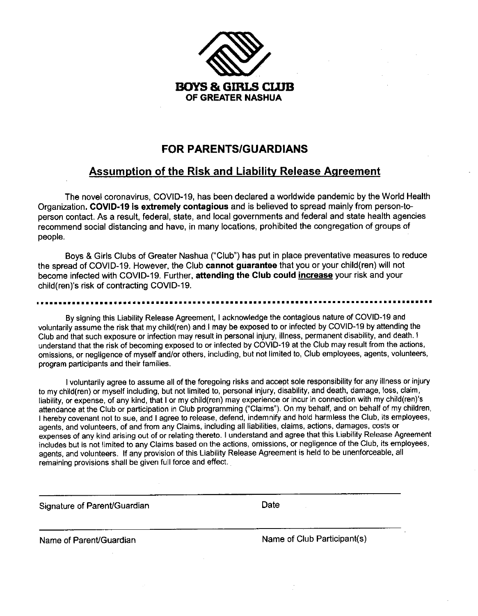

# **FOR PARENTS/GUARDIANS**

# **Assumption of the Risk and Liability Release Agreement**

The novel coronavirus, COVID-19, has been declared a worldwide pandemic by the World Health Organization. COVID-19 is extremely contagious and is believed to spread mainly from person-toperson contact. As a result, federal, state, and local governments and federal and state health agencies recommend social distancing and have, in many locations, prohibited the congregation of groups of people.

Boys & Girls Clubs of Greater Nashua ("Club") has put in place preventative measures to reduce the spread of COVID-19. However, the Club cannot guarantee that you or your child(ren) will not become infected with COVID-19. Further, attending the Club could increase your risk and your child(ren)'s risk of contracting COVID-19.

#### ...............

By signing this Liability Release Agreement, I acknowledge the contagious nature of COVID-19 and voluntarily assume the risk that my child(ren) and I may be exposed to or infected by COVID-19 by attending the Club and that such exposure or infection may result in personal injury, illness, permanent disability, and death. I understand that the risk of becoming exposed to or infected by COVID-19 at the Club may result from the actions, omissions, or negligence of myself and/or others, including, but not limited to, Club employees, agents, volunteers, program participants and their families.

I voluntarily agree to assume all of the foregoing risks and accept sole responsibility for any illness or injury to my child(ren) or myself including, but not limited to, personal injury, disability, and death, damage, loss, claim, liability, or expense, of any kind, that I or my child(ren) may experience or incur in connection with my child(ren)'s attendance at the Club or participation in Club programming ("Claims"). On my behalf, and on behalf of my children, I hereby covenant not to sue, and I agree to release, defend, indemnify and hold harmless the Club, its employees, agents, and volunteers, of and from any Claims, including all liabilities, claims, actions, damages, costs or expenses of any kind arising out of or relating thereto. I understand and agree that this Liability Release Agreement includes but is not limited to any Claims based on the actions, omissions, or negligence of the Club, its employees, agents, and volunteers. If any provision of this Liability Release Agreement is held to be unenforceable, all remaining provisions shall be given full force and effect.

Signature of Parent/Guardian

Date

Name of Parent/Guardian

Name of Club Participant(s)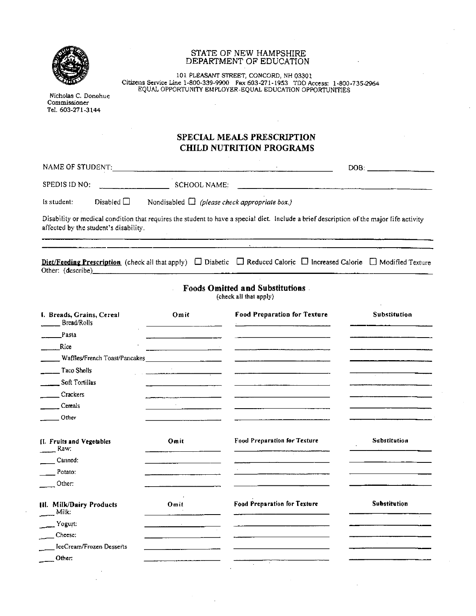| Nicholas C. Donohue<br>Commissioner<br>Tel. 603-271-3144 |                                                                                  | STATE OF NEW HAMPSHIRE<br>DEPARTMENT OF EDUCATION<br>101 PLEASANT STREET, CONCORD, NH 03301<br>Citizens Service Line 1-800-339-9900 Fax 603-271-1953 TDD Access: 1-800-735-2964<br>EQUAL OPPORTUNITY EMPLOYER-EQUAL EDUCATION OPPORTUNITIES                                                                                                           |                                                                                                                      |
|----------------------------------------------------------|----------------------------------------------------------------------------------|-------------------------------------------------------------------------------------------------------------------------------------------------------------------------------------------------------------------------------------------------------------------------------------------------------------------------------------------------------|----------------------------------------------------------------------------------------------------------------------|
|                                                          |                                                                                  | SPECIAL MEALS PRESCRIPTION<br><b>CHILD NUTRITION PROGRAMS</b>                                                                                                                                                                                                                                                                                         |                                                                                                                      |
|                                                          |                                                                                  |                                                                                                                                                                                                                                                                                                                                                       |                                                                                                                      |
| SPEDIS ID NO:                                            | $\overline{\phantom{iiiiiiiiiiiiiiiiiiiiiiiiiiiiiiiiiiiiiiiiiiii}}$ SCHOOL NAME: |                                                                                                                                                                                                                                                                                                                                                       |                                                                                                                      |
| Disabled $\Box$<br>ls student:                           |                                                                                  | Nondisabled $\Box$ (please check appropriate box.)                                                                                                                                                                                                                                                                                                    |                                                                                                                      |
| affected by the student's disability.                    |                                                                                  | Disability or medical condition that requires the student to have a special diet. Include a brief description of the major life activity<br><u>.</u><br>1990 - January Louis, amerikansk politik (* 1900)<br>Diet/Feeding Prescription (check all that apply) $\Box$ Diabetic $\Box$ Reduced Calorie $\Box$ Increased Calorie $\Box$ Modified Texture |                                                                                                                      |
|                                                          |                                                                                  | <b>Foods Omitted and Substitutions</b><br>(check all that apply)                                                                                                                                                                                                                                                                                      |                                                                                                                      |
| L. Breads, Grains, Cereal<br>Bread/Rolls                 | Omit                                                                             | <b>Food Preparation for Texture</b>                                                                                                                                                                                                                                                                                                                   | <b>Substitution</b>                                                                                                  |
| <b>Pasta</b>                                             |                                                                                  | <u> 2000 - 2000 - 2000 - 2000 - 2000 - 2000 - 2000 - 2000 - 2000 - 2000 - 2000 - 2000 - 2000 - 2000 - 2000 - 200</u>                                                                                                                                                                                                                                  | <u> 2000 - 2000 - 2000 - 2000 - 2000 - 2000 - 2000 - 2000 - 2000 - 2000 - 2000 - 2000 - 2000 - 2000 - 2000 - 200</u> |
| Rice                                                     |                                                                                  |                                                                                                                                                                                                                                                                                                                                                       |                                                                                                                      |
|                                                          |                                                                                  |                                                                                                                                                                                                                                                                                                                                                       |                                                                                                                      |
| $\frac{1}{2}$ Taco Shells<br>Soft Tortillas              |                                                                                  | $\sim$ . The comparation of the company of the comparation of the company of the company of the company of the company of the company of the company of the company of the company of the company of the company of the company                                                                                                                       |                                                                                                                      |
| Crackers                                                 |                                                                                  |                                                                                                                                                                                                                                                                                                                                                       |                                                                                                                      |
| Cereals                                                  |                                                                                  |                                                                                                                                                                                                                                                                                                                                                       |                                                                                                                      |
| Other                                                    |                                                                                  |                                                                                                                                                                                                                                                                                                                                                       |                                                                                                                      |
| [I. Fruits and Vegetables<br>Raw.                        | Omit                                                                             | <b>Food Preparation for Texture</b>                                                                                                                                                                                                                                                                                                                   | Substitution                                                                                                         |
| Canned:                                                  |                                                                                  |                                                                                                                                                                                                                                                                                                                                                       |                                                                                                                      |
| Potato:                                                  |                                                                                  |                                                                                                                                                                                                                                                                                                                                                       |                                                                                                                      |
| Other:                                                   |                                                                                  |                                                                                                                                                                                                                                                                                                                                                       |                                                                                                                      |
| III. Milk/Dairy Products<br>Milk.                        | Omit                                                                             | Food Preparation for Texture                                                                                                                                                                                                                                                                                                                          | <b>Substitution</b>                                                                                                  |
|                                                          |                                                                                  |                                                                                                                                                                                                                                                                                                                                                       |                                                                                                                      |
| Yogurt:                                                  |                                                                                  |                                                                                                                                                                                                                                                                                                                                                       |                                                                                                                      |
| Cheese:                                                  |                                                                                  |                                                                                                                                                                                                                                                                                                                                                       |                                                                                                                      |
| IceCream/Frozen Desserts                                 |                                                                                  |                                                                                                                                                                                                                                                                                                                                                       |                                                                                                                      |
| Other:                                                   |                                                                                  |                                                                                                                                                                                                                                                                                                                                                       |                                                                                                                      |
|                                                          |                                                                                  |                                                                                                                                                                                                                                                                                                                                                       |                                                                                                                      |

 $\hat{\mathcal{A}}$